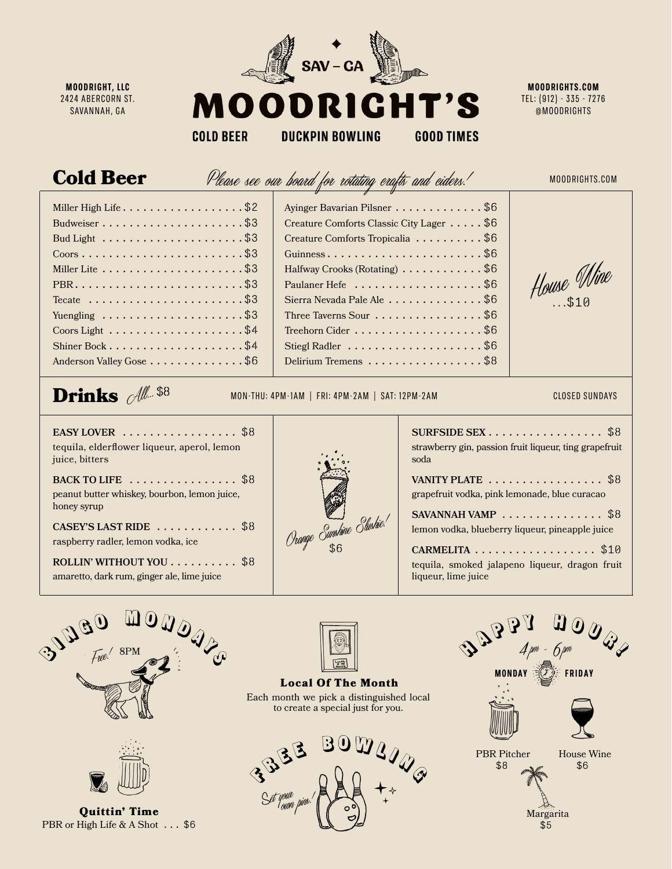

**MOODRIGHT, LLC** 2424 ABERCORN ST. SAVANNAH, GA

**MOODRIGHTS.COM** TEL: (912) - 335 - 7276 @MOODRIGHTS

**COLD BEER** 

**DUCKPIN BOWLING GOOD TIMES** 

## Cold Beer

Please see our board for rotating crafts and ciders.

MOODRIGHTS.COM

| Miller High Life \$2                                               |
|--------------------------------------------------------------------|
| Budweiser\$3                                                       |
|                                                                    |
| $\text{Coors}\ldots\ldots\ldots\ldots\ldots\ldots\ldots\text{ $3}$ |
|                                                                    |
|                                                                    |
| Tecate $\ldots \ldots \ldots \ldots \ldots \ldots \ldots \$        |
| Yuengling \$3                                                      |
| Coors Light $\ldots \ldots \ldots \ldots \ldots \ldots$ \$4        |
|                                                                    |
| Anderson Valley Gose \$6                                           |

| Ayinger Bavarian Pilsner \$6<br>Creature Comforts Classic City Lager \$6<br>Creature Comforts Tropicalia \$6<br>Guinness\$6<br>Halfway Crooks (Rotating) \$6<br>Sierra Nevada Pale Ale \$6<br>Three Taverns Sour $\dots \dots \dots \dots \dots$ . \$6<br>Treehorn Cider $\dots\dots\dots\dots\dots\dots\dots$ \$6<br>Stiegl Radler $\dots \dots \dots \dots \dots \dots \dots \$<br>Delirium Tremens \$8 | House Min |
|-----------------------------------------------------------------------------------------------------------------------------------------------------------------------------------------------------------------------------------------------------------------------------------------------------------------------------------------------------------------------------------------------------------|-----------|

## $\mathcal{A}$ ll... \$8

Drinks MON-THU: 4PM-1AM | FRI: 4PM-2AM | SAT: 12PM-2AM

## CLOSED SUNDAYS

**EASY LOVER** ................. \$8 tequila, elderflower liqueur, aperol, lemon juice, bitters

**BACK TO LIFE** .................\$8 peanut butter whiskey, bourbon, lemon juice, honey syrup

**CASEY'S LAST RIDE** ............ \$8 raspberry radler, lemon vodka, ice

**ROLLIN' WITHOUT YOU**.......... \$8 amaretto, dark rum, ginger ale, lime juice



| SURFSIDE SEX \$8<br>strawberry gin, passion fruit liqueur, ting grapefruit<br>soda                   |  |
|------------------------------------------------------------------------------------------------------|--|
| VANITY PLATE $\ldots \ldots \ldots \ldots \ldots \$<br>grapefruit vodka, pink lemonade, blue curacao |  |
| SAVANNAH VAMP $\ldots \ldots \ldots \ldots$ \$8<br>lemon vodka, blueberry liqueur, pineapple juice   |  |
|                                                                                                      |  |

**CARMELITA** .................. \$10 tequila, smoked jalapeno liqueur, dragon fruit liqueur, lime juice





Quittin' Time PBR or High Life & A Shot . . . \$6



Local Of The Month Each month we pick a distinguished local to create a special just for you.



PBR Pitcher \$8 House Wine \$6 Margarita \$5 **MONDAY FRIDAY**  $\mathcal{A}_{\ell}$ 4pm – 6p  $4$  pm  $O$  pm  $\,$